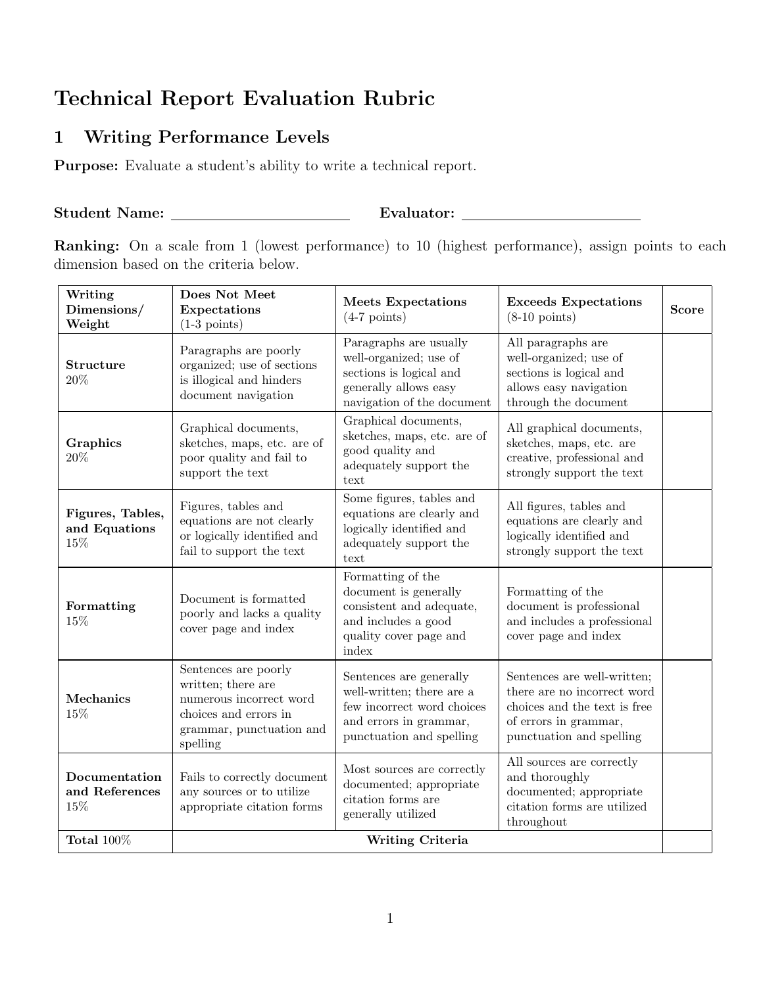## Technical Report Evaluation Rubric

## 1 Writing Performance Levels

Purpose: Evaluate a student's ability to write a technical report.

## Student Name: Evaluator:

Ranking: On a scale from 1 (lowest performance) to 10 (highest performance), assign points to each dimension based on the criteria below.

| Writing<br>Dimensions/<br>Weight         | Does Not Meet<br>Expectations<br>$(1-3 \text{ points})$                                                                                | <b>Meets Expectations</b><br>$(4-7$ points)                                                                                              | <b>Exceeds Expectations</b><br>$(8-10 \text{ points})$                                                                                          | <b>Score</b> |
|------------------------------------------|----------------------------------------------------------------------------------------------------------------------------------------|------------------------------------------------------------------------------------------------------------------------------------------|-------------------------------------------------------------------------------------------------------------------------------------------------|--------------|
| <b>Structure</b><br>20%                  | Paragraphs are poorly<br>organized; use of sections<br>is illogical and hinders<br>document navigation                                 | Paragraphs are usually<br>well-organized; use of<br>sections is logical and<br>generally allows easy<br>navigation of the document       | All paragraphs are<br>well-organized; use of<br>sections is logical and<br>allows easy navigation<br>through the document                       |              |
| Graphics<br>$20\%$                       | Graphical documents,<br>sketches, maps, etc. are of<br>poor quality and fail to<br>support the text                                    | Graphical documents,<br>sketches, maps, etc. are of<br>good quality and<br>adequately support the<br>text                                | All graphical documents,<br>sketches, maps, etc. are<br>creative, professional and<br>strongly support the text                                 |              |
| Figures, Tables,<br>and Equations<br>15% | Figures, tables and<br>equations are not clearly<br>or logically identified and<br>fail to support the text                            | Some figures, tables and<br>equations are clearly and<br>logically identified and<br>adequately support the<br>text                      | All figures, tables and<br>equations are clearly and<br>logically identified and<br>strongly support the text                                   |              |
| Formatting<br>15%                        | Document is formatted<br>poorly and lacks a quality<br>cover page and index                                                            | Formatting of the<br>document is generally<br>consistent and adequate,<br>and includes a good<br>quality cover page and<br>index         | Formatting of the<br>document is professional<br>and includes a professional<br>cover page and index                                            |              |
| Mechanics<br>15%                         | Sentences are poorly<br>written; there are<br>numerous incorrect word<br>choices and errors in<br>grammar, punctuation and<br>spelling | Sentences are generally<br>well-written; there are a<br>few incorrect word choices<br>and errors in grammar,<br>punctuation and spelling | Sentences are well-written;<br>there are no incorrect word<br>choices and the text is free<br>of errors in grammar,<br>punctuation and spelling |              |
| Documentation<br>and References<br>15%   | Fails to correctly document<br>any sources or to utilize<br>appropriate citation forms                                                 | Most sources are correctly<br>documented; appropriate<br>citation forms are<br>generally utilized                                        | All sources are correctly<br>and thoroughly<br>documented; appropriate<br>citation forms are utilized<br>throughout                             |              |
| Total $100\%$                            | Writing Criteria                                                                                                                       |                                                                                                                                          |                                                                                                                                                 |              |